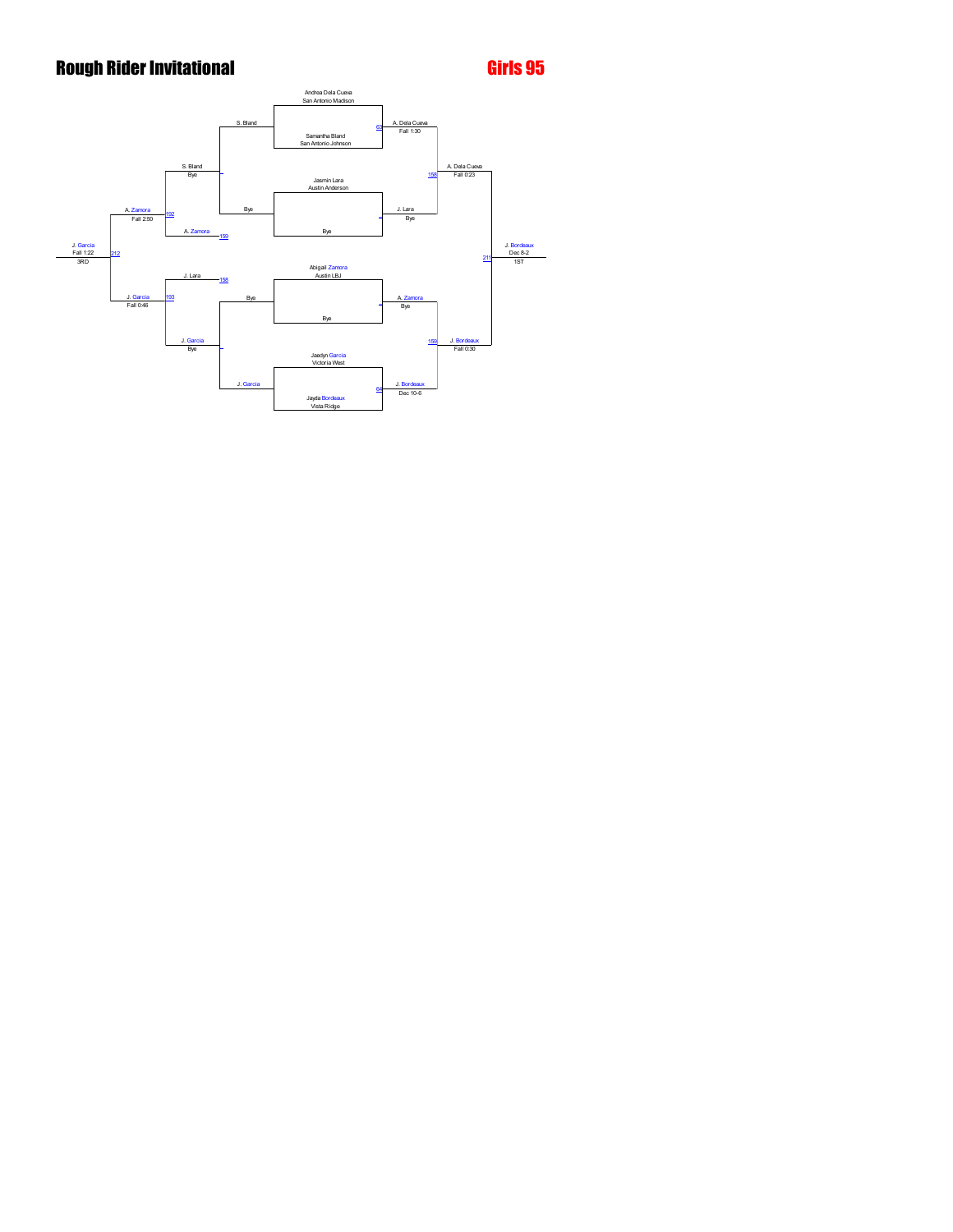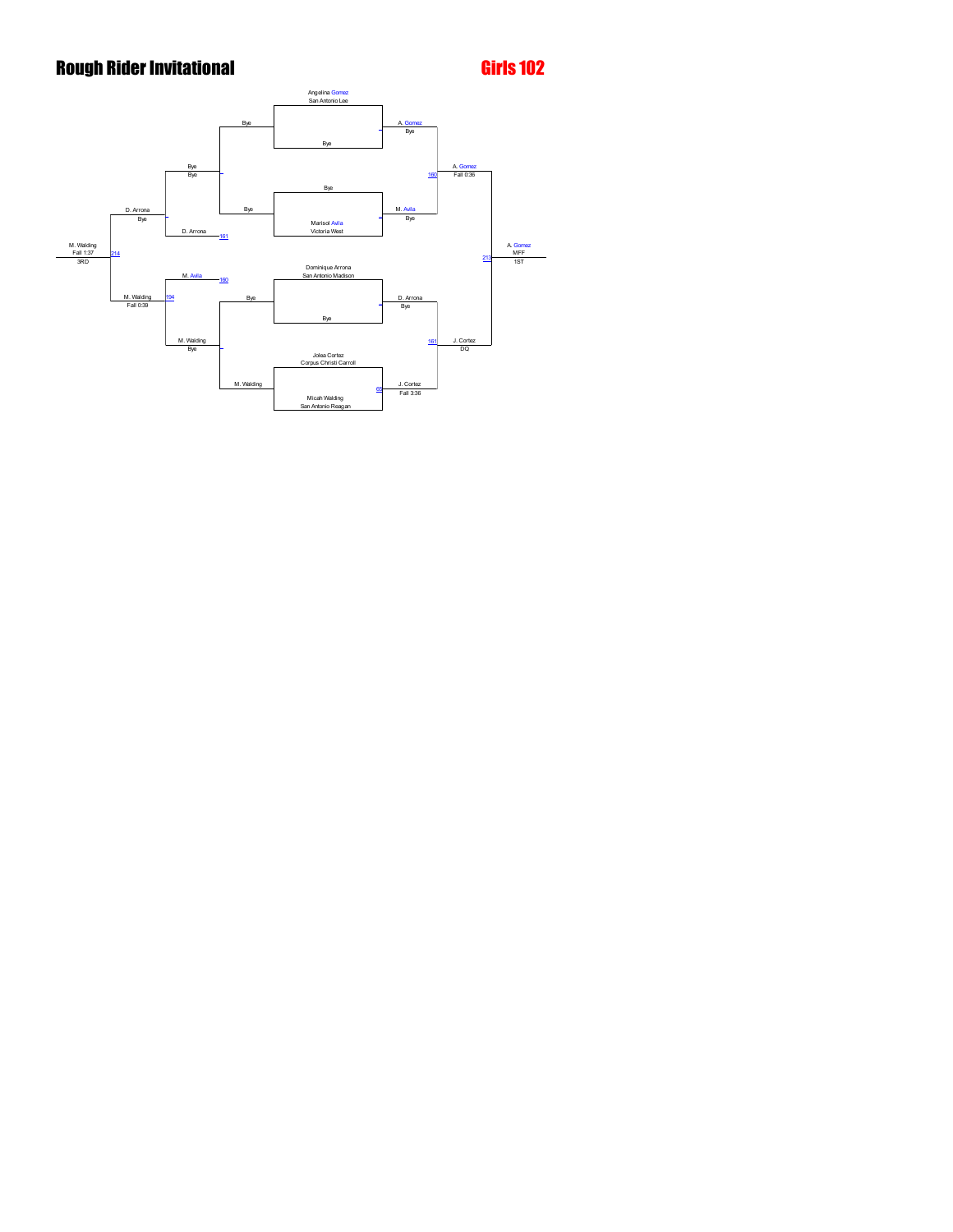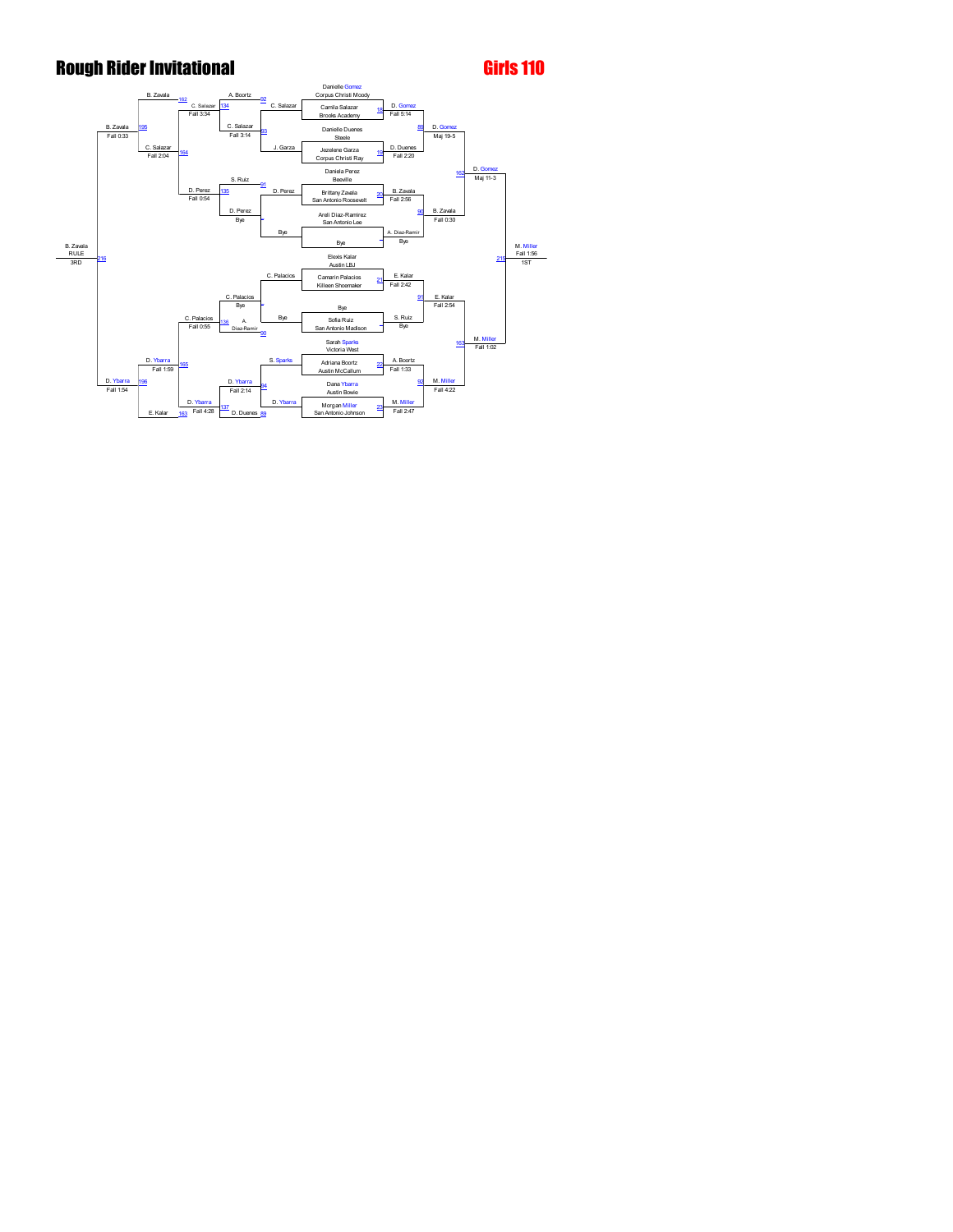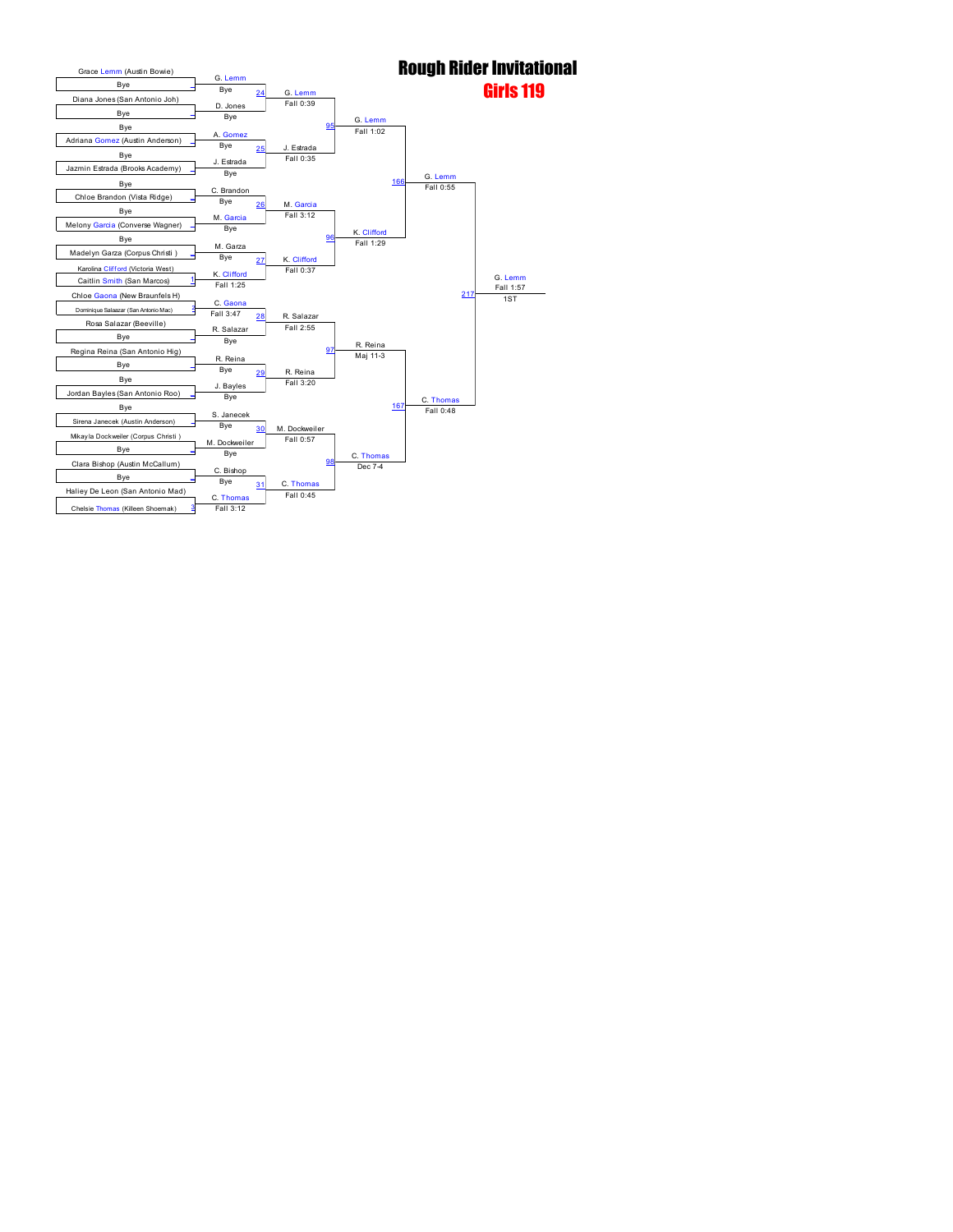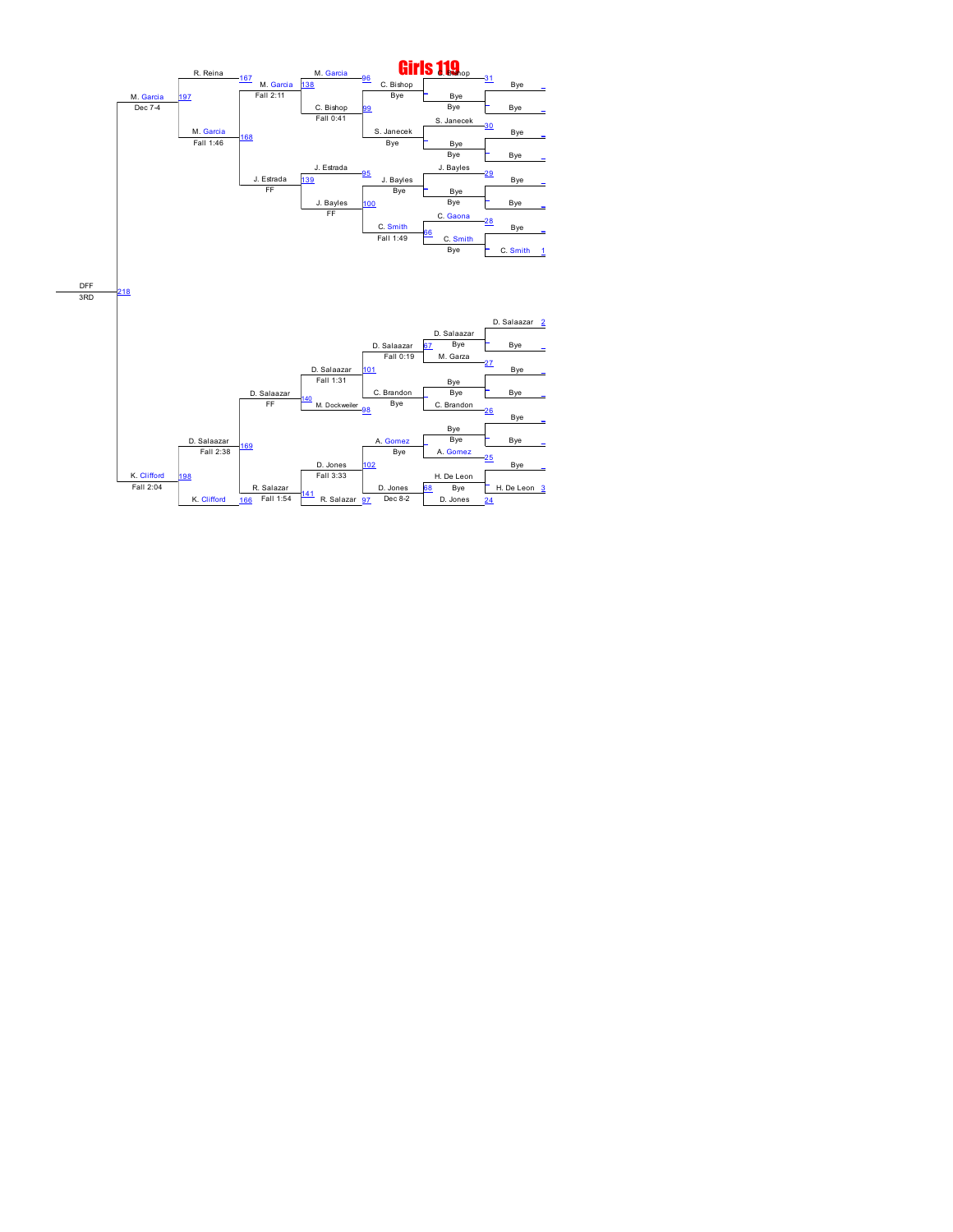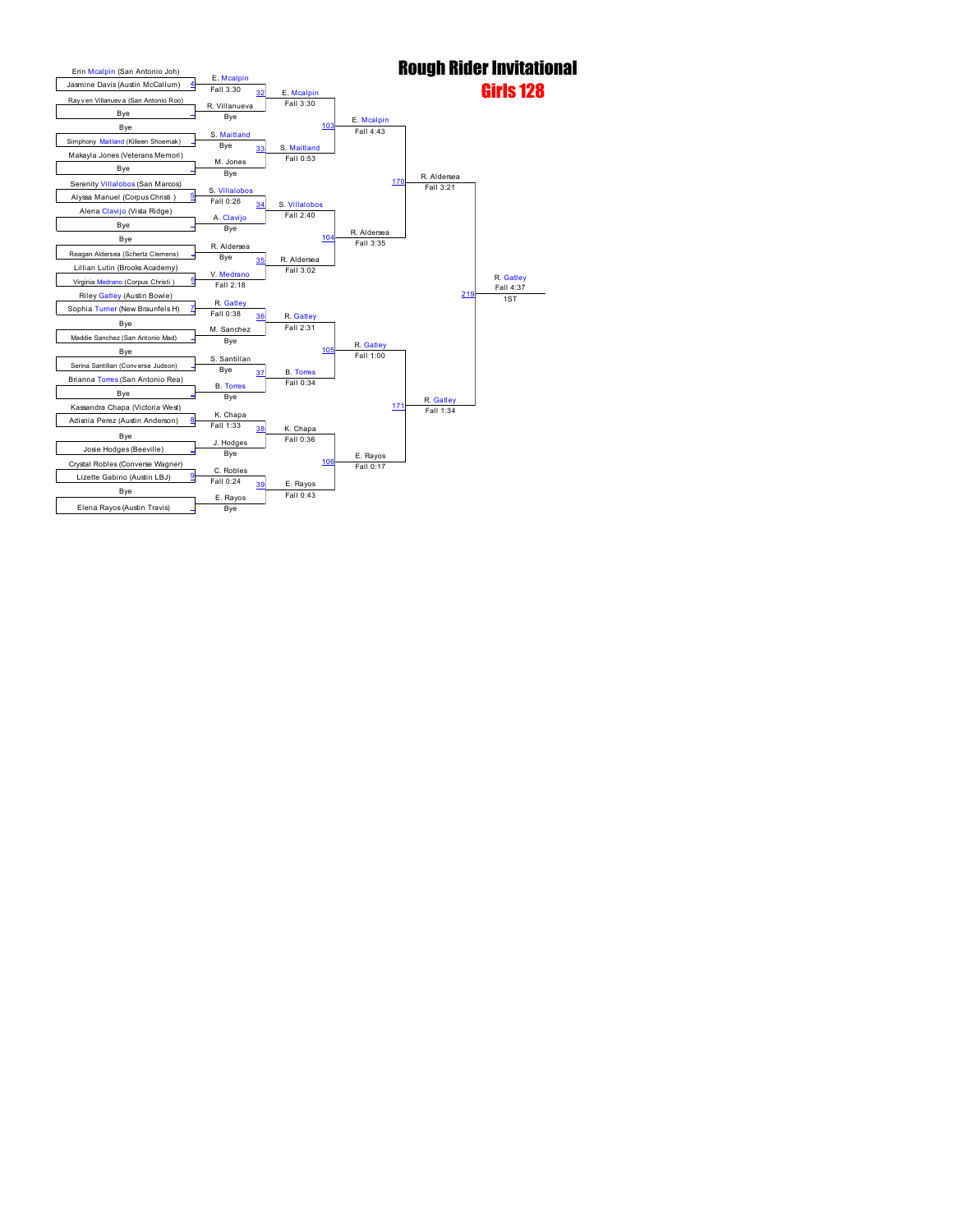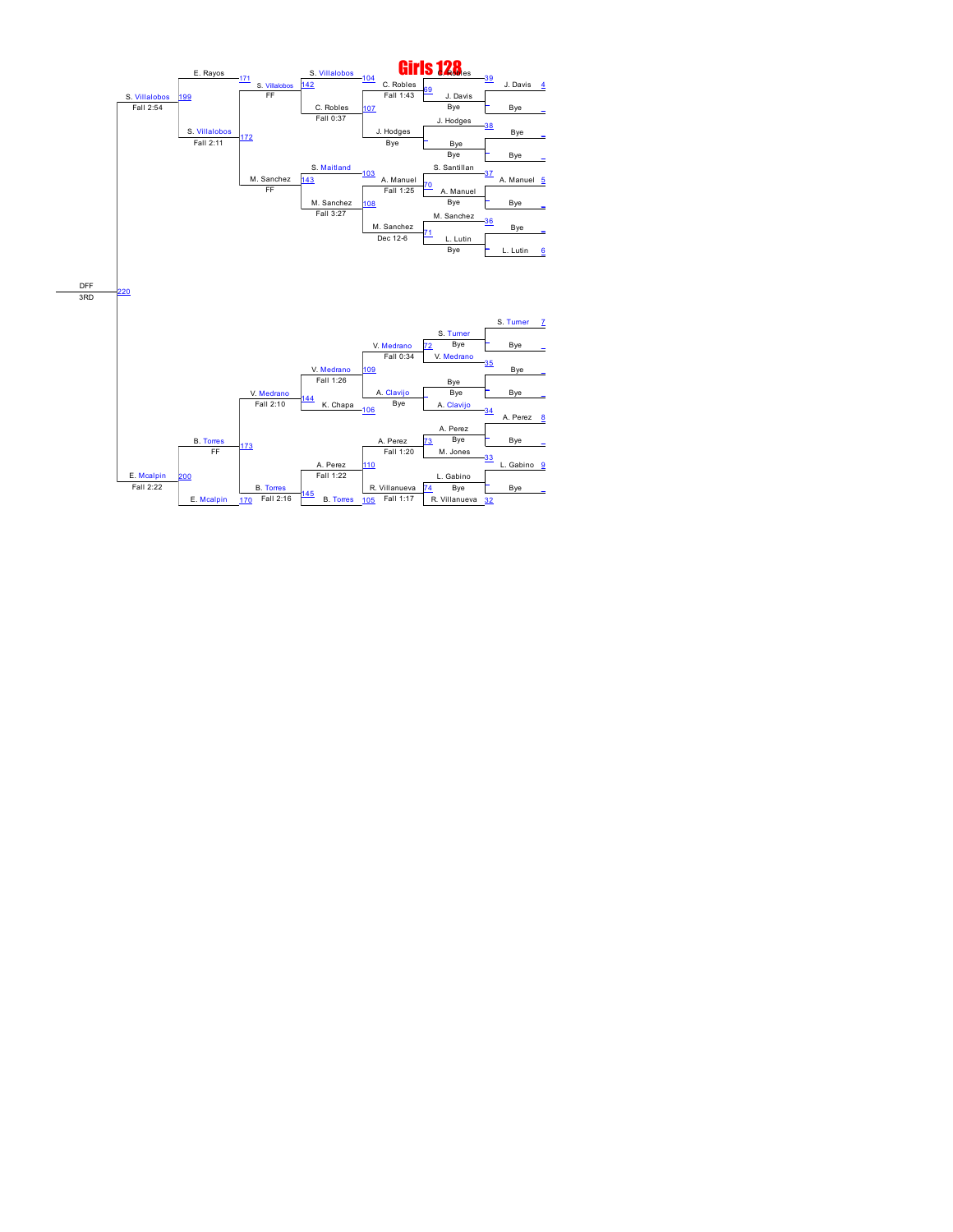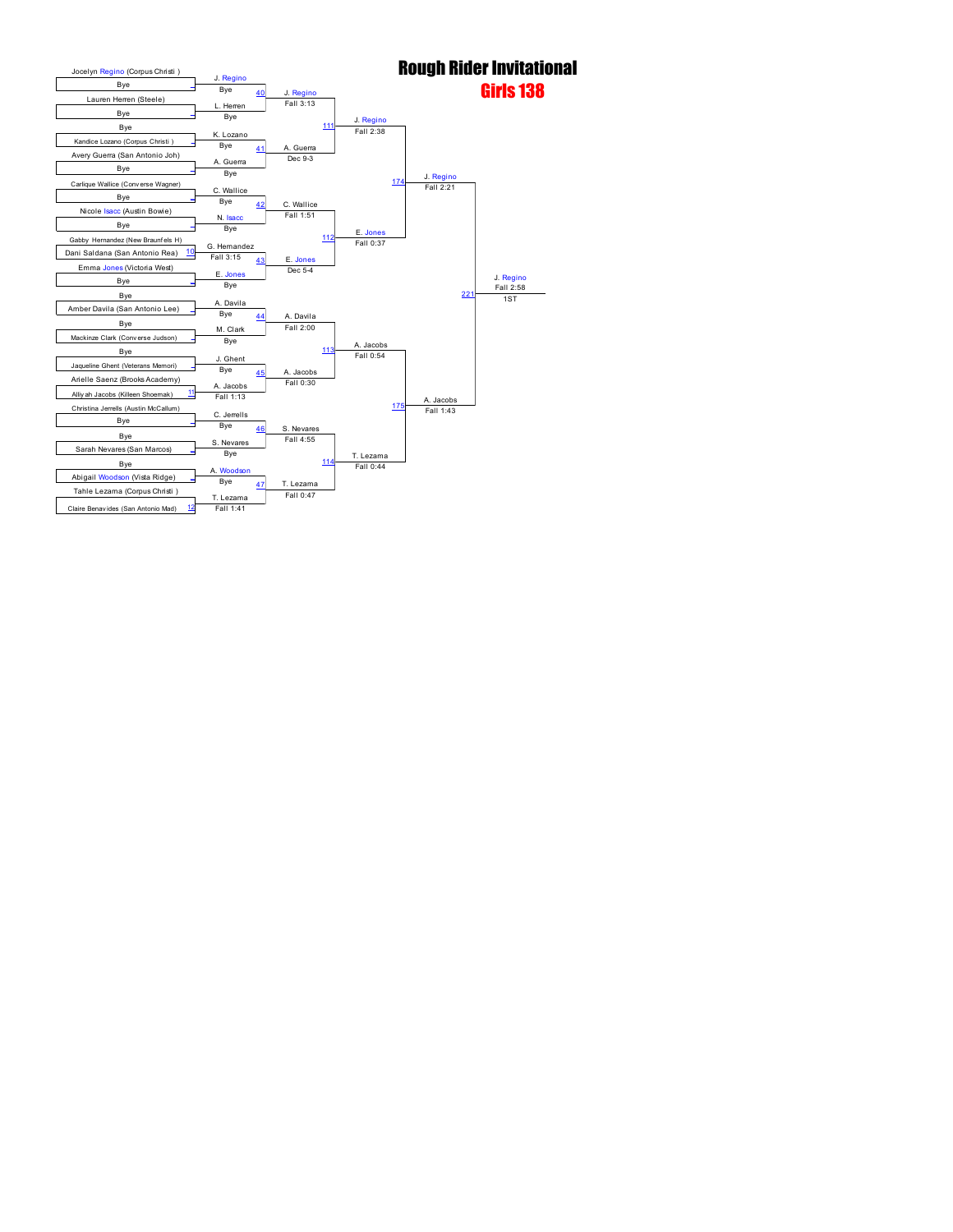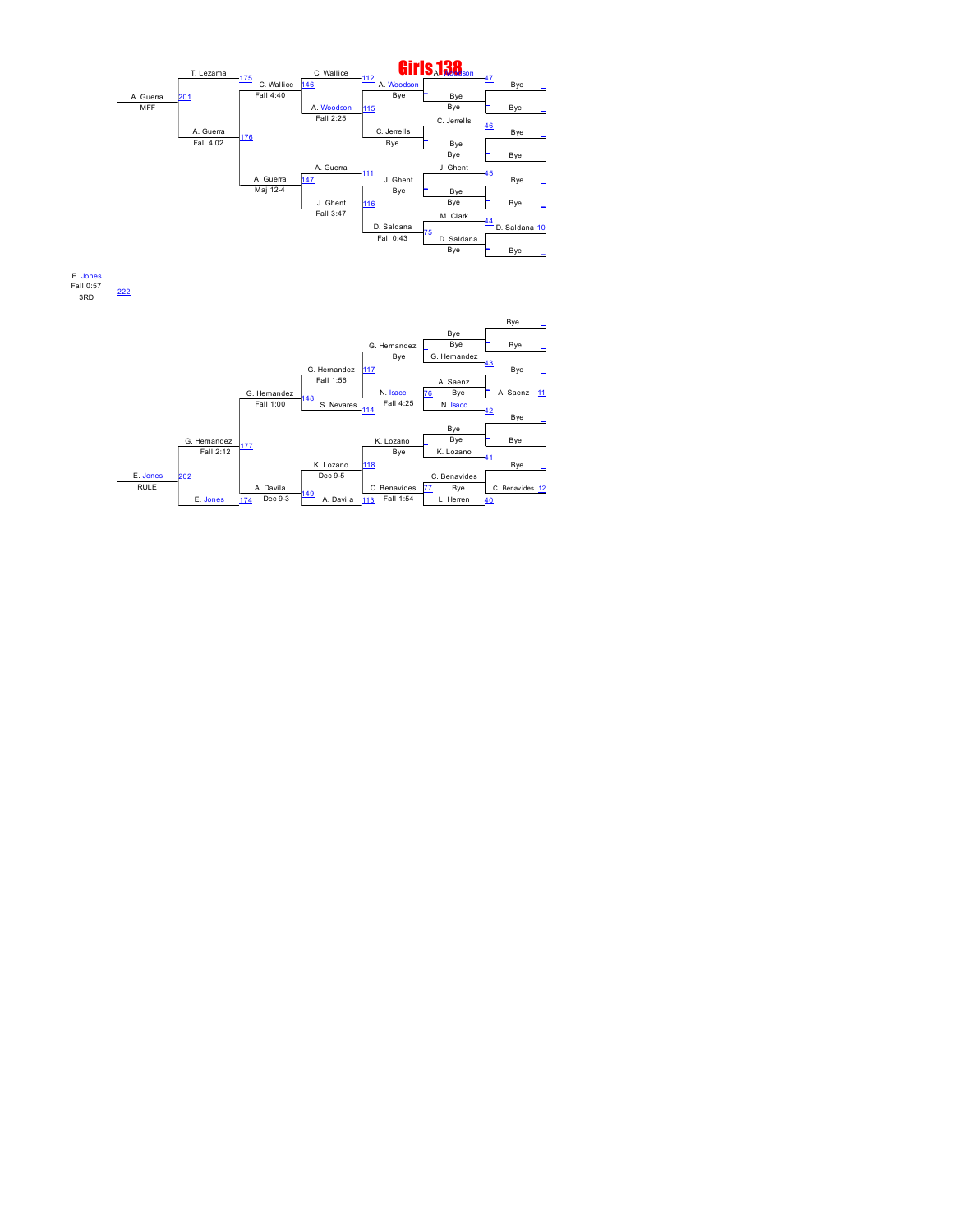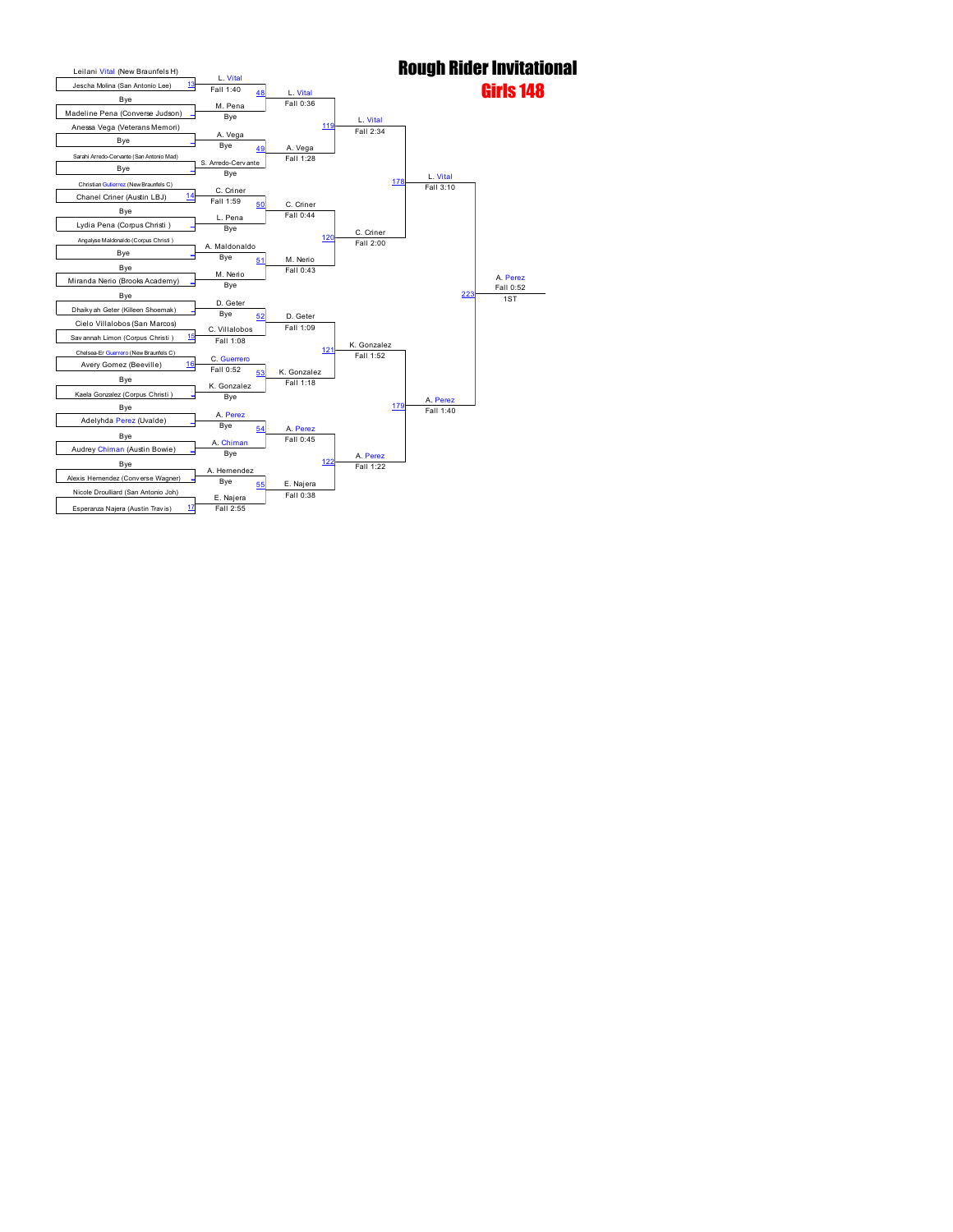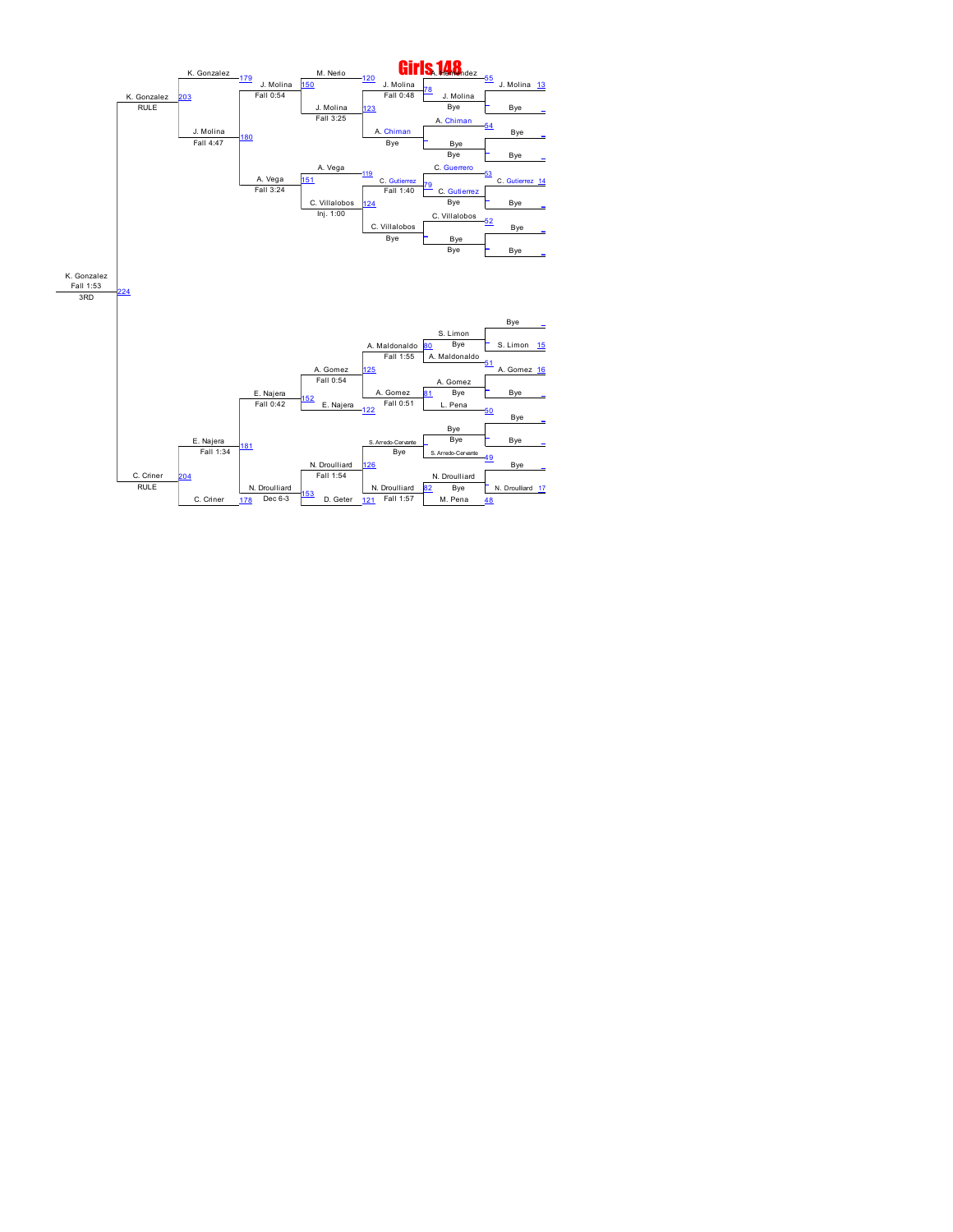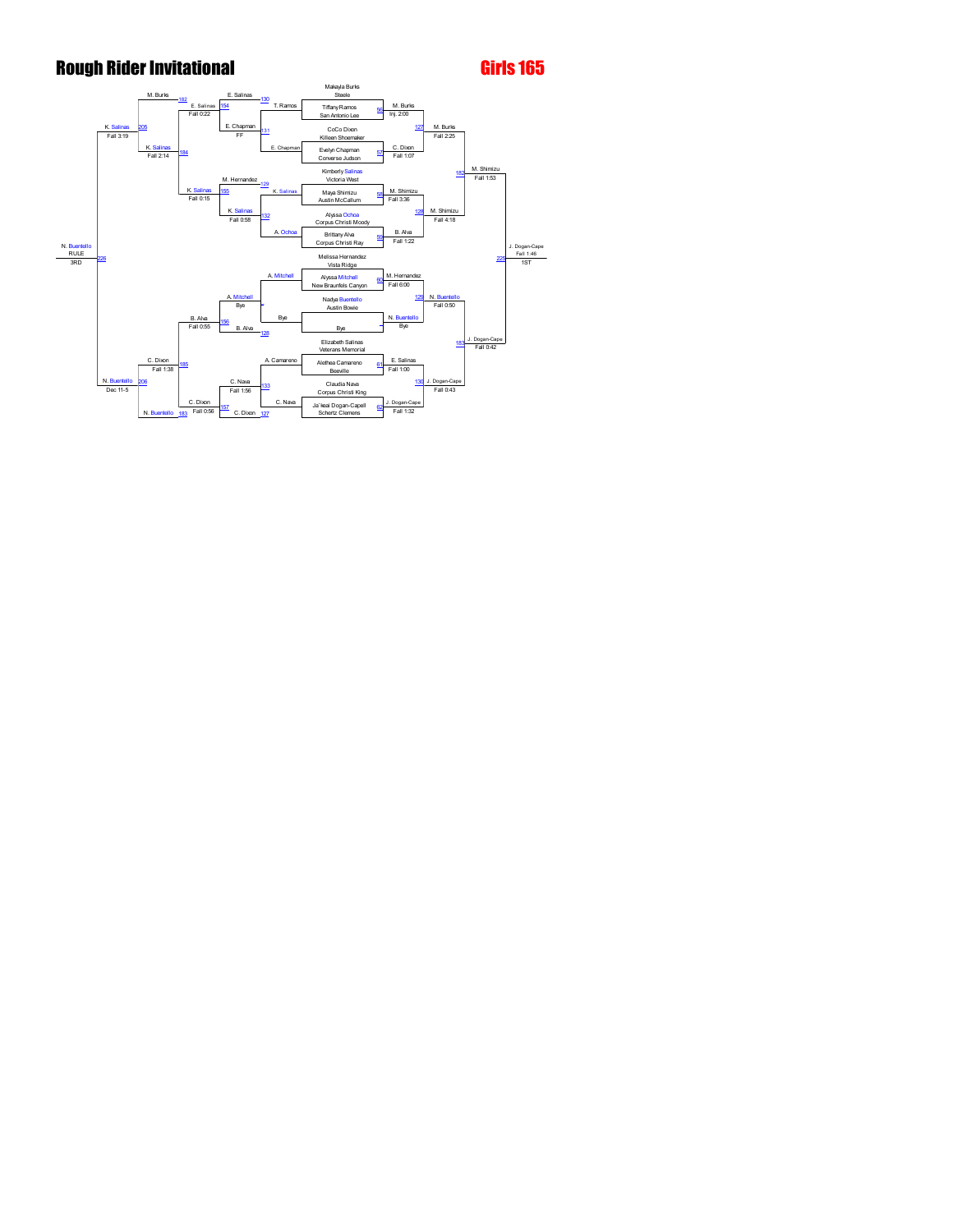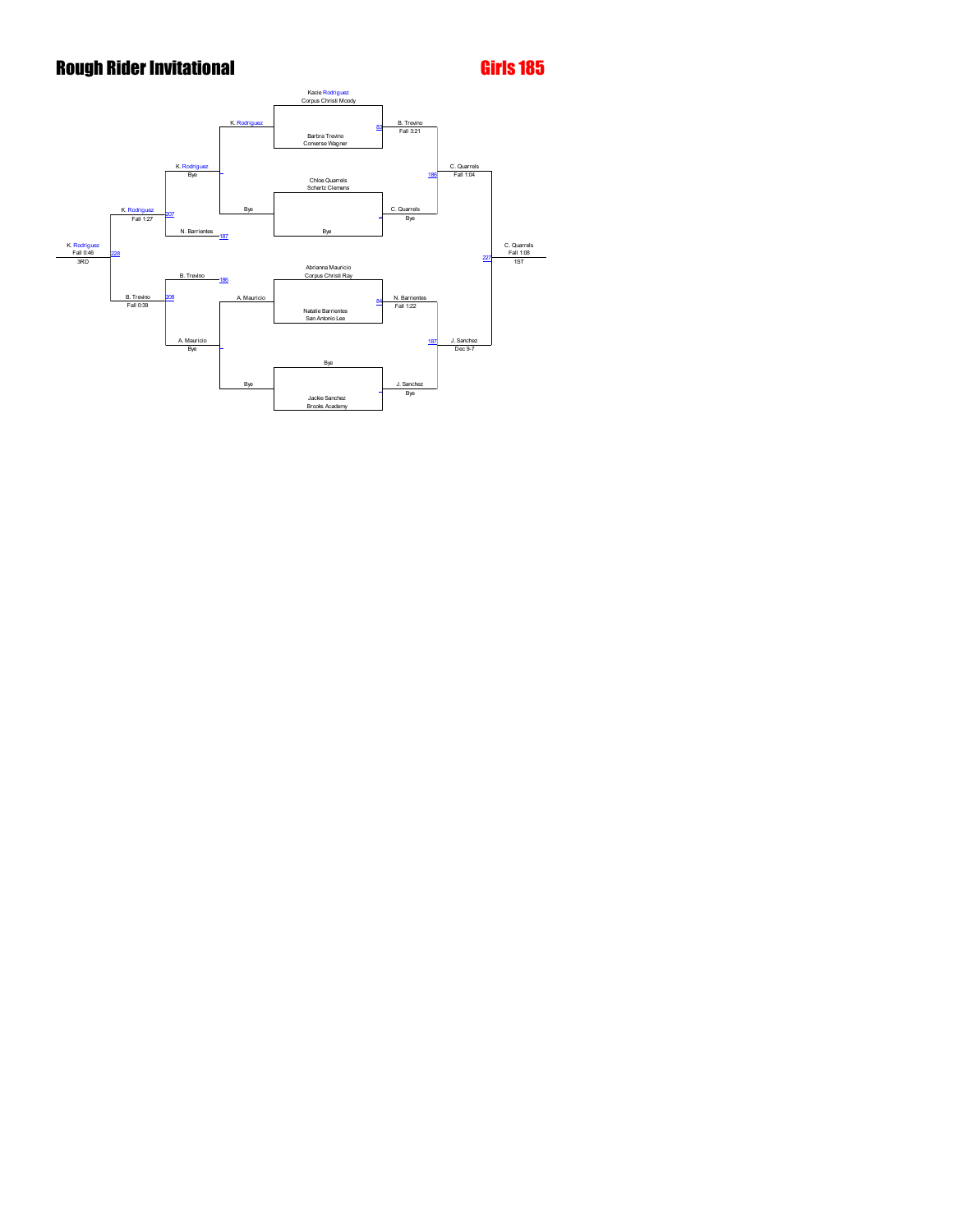